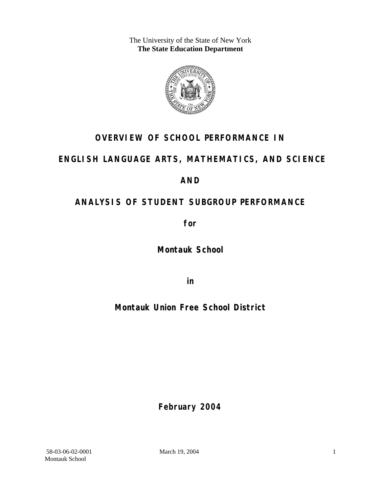The University of the State of New York **The State Education Department** 



# **OVERVIEW OF SCHOOL PERFORMANCE IN**

## **ENGLISH LANGUAGE ARTS, MATHEMATICS, AND SCIENCE**

## **AND**

# **ANALYSIS OF STUDENT SUBGROUP PERFORMANCE**

**for** 

**Montauk School**

**in** 

**Montauk Union Free School District**

**February 2004**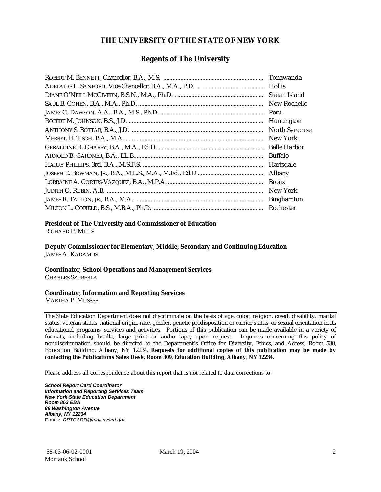#### **THE UNIVERSITY OF THE STATE OF NEW YORK**

#### **Regents of The University**

| Tonawanda             |
|-----------------------|
| <b>Hollis</b>         |
| Staten Island         |
| New Rochelle          |
| Peru                  |
| Huntington            |
| <b>North Syracuse</b> |
| New York              |
| <b>Belle Harbor</b>   |
| <b>Buffalo</b>        |
| Hartsdale             |
| Albany                |
| <b>Bronx</b>          |
| New York              |
| <b>Binghamton</b>     |
| Rochester             |

#### **President of The University and Commissioner of Education**

RICHARD P. MILLS

**Deputy Commissioner for Elementary, Middle, Secondary and Continuing Education**  JAMES A. KADAMUS

#### **Coordinator, School Operations and Management Services**

CHARLES SZUBERLA

#### **Coordinator, Information and Reporting Services**

MARTHA P. MUSSER

The State Education Department does not discriminate on the basis of age, color, religion, creed, disability, marital status, veteran status, national origin, race, gender, genetic predisposition or carrier status, or sexual orientation in its educational programs, services and activities. Portions of this publication can be made available in a variety of formats, including braille, large print or audio tape, upon request. Inquiries concerning this policy of nondiscrimination should be directed to the Department's Office for Diversity, Ethics, and Access, Room 530, Education Building, Albany, NY 12234. **Requests for additional copies of this publication may be made by contacting the Publications Sales Desk, Room 309, Education Building, Albany, NY 12234.** 

Please address all correspondence about this report that is not related to data corrections to:

*School Report Card Coordinator Information and Reporting Services Team New York State Education Department Room 863 EBA 89 Washington Avenue Albany, NY 12234*  E-mail: *RPTCARD@mail.nysed.gov*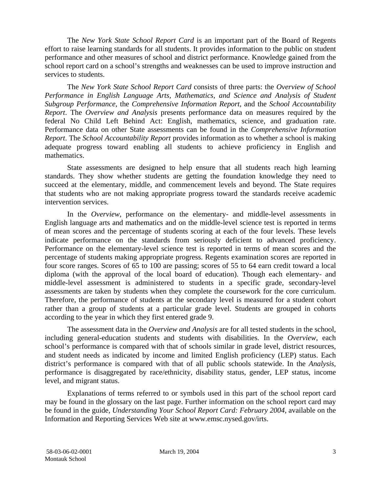The *New York State School Report Card* is an important part of the Board of Regents effort to raise learning standards for all students. It provides information to the public on student performance and other measures of school and district performance. Knowledge gained from the school report card on a school's strengths and weaknesses can be used to improve instruction and services to students.

The *New York State School Report Card* consists of three parts: the *Overview of School Performance in English Language Arts, Mathematics, and Science and Analysis of Student Subgroup Performance,* the *Comprehensive Information Report,* and the *School Accountability Report*. The *Overview and Analysis* presents performance data on measures required by the federal No Child Left Behind Act: English, mathematics, science, and graduation rate. Performance data on other State assessments can be found in the *Comprehensive Information Report*. The *School Accountability Report* provides information as to whether a school is making adequate progress toward enabling all students to achieve proficiency in English and mathematics.

State assessments are designed to help ensure that all students reach high learning standards. They show whether students are getting the foundation knowledge they need to succeed at the elementary, middle, and commencement levels and beyond. The State requires that students who are not making appropriate progress toward the standards receive academic intervention services.

In the *Overview*, performance on the elementary- and middle-level assessments in English language arts and mathematics and on the middle-level science test is reported in terms of mean scores and the percentage of students scoring at each of the four levels. These levels indicate performance on the standards from seriously deficient to advanced proficiency. Performance on the elementary-level science test is reported in terms of mean scores and the percentage of students making appropriate progress. Regents examination scores are reported in four score ranges. Scores of 65 to 100 are passing; scores of 55 to 64 earn credit toward a local diploma (with the approval of the local board of education). Though each elementary- and middle-level assessment is administered to students in a specific grade, secondary-level assessments are taken by students when they complete the coursework for the core curriculum. Therefore, the performance of students at the secondary level is measured for a student cohort rather than a group of students at a particular grade level. Students are grouped in cohorts according to the year in which they first entered grade 9.

The assessment data in the *Overview and Analysis* are for all tested students in the school, including general-education students and students with disabilities. In the *Overview*, each school's performance is compared with that of schools similar in grade level, district resources, and student needs as indicated by income and limited English proficiency (LEP) status. Each district's performance is compared with that of all public schools statewide. In the *Analysis*, performance is disaggregated by race/ethnicity, disability status, gender, LEP status, income level, and migrant status.

Explanations of terms referred to or symbols used in this part of the school report card may be found in the glossary on the last page. Further information on the school report card may be found in the guide, *Understanding Your School Report Card: February 2004*, available on the Information and Reporting Services Web site at www.emsc.nysed.gov/irts.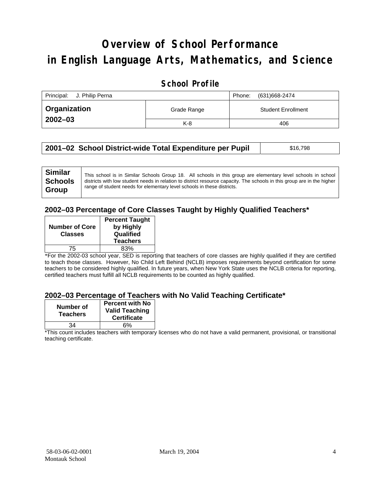# **Overview of School Performance in English Language Arts, Mathematics, and Science**

### **School Profile**

| Principal: J. Philip Perna |             | (631)668-2474<br>Phone:   |
|----------------------------|-------------|---------------------------|
| <b>Organization</b>        | Grade Range | <b>Student Enrollment</b> |
| $2002 - 03$                | $K-8$       | 406                       |

| 2001–02 School District-wide Total Expenditure per Pupil | \$16,798 |
|----------------------------------------------------------|----------|
|----------------------------------------------------------|----------|

### **2002–03 Percentage of Core Classes Taught by Highly Qualified Teachers\***

| <b>Number of Core</b><br><b>Classes</b> | <b>Percent Taught</b><br>by Highly<br>Qualified<br><b>Teachers</b> |
|-----------------------------------------|--------------------------------------------------------------------|
| 75                                      | 83%                                                                |
|                                         |                                                                    |

\*For the 2002-03 school year, SED is reporting that teachers of core classes are highly qualified if they are certified to teach those classes. However, No Child Left Behind (NCLB) imposes requirements beyond certification for some teachers to be considered highly qualified. In future years, when New York State uses the NCLB criteria for reporting, certified teachers must fulfill all NCLB requirements to be counted as highly qualified.

#### **2002–03 Percentage of Teachers with No Valid Teaching Certificate\***

| Number of<br><b>Teachers</b> | <b>Percent with No</b><br><b>Valid Teaching</b><br><b>Certificate</b> |
|------------------------------|-----------------------------------------------------------------------|
| 34                           | 6%                                                                    |

\*This count includes teachers with temporary licenses who do not have a valid permanent, provisional, or transitional teaching certificate.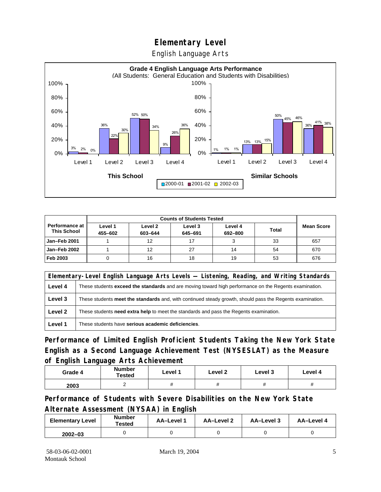English Language Arts



|                                             |                    | <b>Counts of Students Tested</b> |                    |                    |       |                   |
|---------------------------------------------|--------------------|----------------------------------|--------------------|--------------------|-------|-------------------|
| <b>Performance at</b><br><b>This School</b> | Level 1<br>455-602 | Level 2<br>603-644               | Level 3<br>645-691 | Level 4<br>692-800 | Total | <b>Mean Score</b> |
| Jan-Feb 2001                                |                    | 12                               |                    |                    | 33    | 657               |
| Jan-Feb 2002                                |                    | 12                               | 27                 | 14                 | 54    | 670               |
| Feb 2003                                    |                    | 16                               | 18                 | 19                 | 53    | 676               |

|         | Elementary-Level English Language Arts Levels — Listening, Reading, and Writing Standards                 |  |  |  |  |
|---------|-----------------------------------------------------------------------------------------------------------|--|--|--|--|
| Level 4 | These students exceed the standards and are moving toward high performance on the Regents examination.    |  |  |  |  |
| Level 3 | These students meet the standards and, with continued steady growth, should pass the Regents examination. |  |  |  |  |
| Level 2 | These students <b>need extra help</b> to meet the standards and pass the Regents examination.             |  |  |  |  |
| Level 1 | These students have serious academic deficiencies.                                                        |  |  |  |  |

**Performance of Limited English Proficient Students Taking the New York State English as a Second Language Achievement Test (NYSESLAT) as the Measure of English Language Arts Achievement**

| Grade 4 | <b>Number</b><br>Tested | Level 1 | Level 2  | Level 3  | Level 4  |
|---------|-------------------------|---------|----------|----------|----------|
| 2003    |                         |         | $^{\pi}$ | $^{\pi}$ | $^{\pi}$ |

**Performance of Students with Severe Disabilities on the New York State Alternate Assessment (NYSAA) in English** 

| <b>Elementary Level</b> | <b>Number</b><br>Tested | AA-Level 1 | AA-Level 2 | AA-Level 3 | AA-Level 4 |
|-------------------------|-------------------------|------------|------------|------------|------------|
| $2002 - 03$             |                         |            |            |            |            |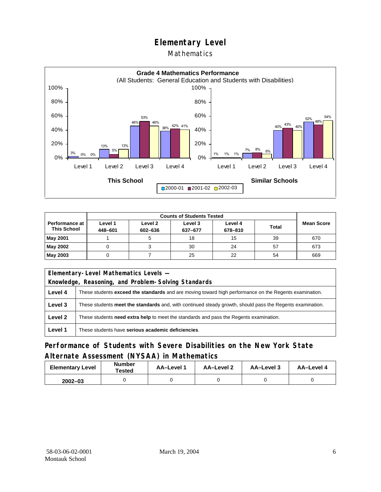### **Mathematics**



|                                               | <b>Counts of Students Tested</b> |                    |                    |                    |       |                   |
|-----------------------------------------------|----------------------------------|--------------------|--------------------|--------------------|-------|-------------------|
| <b>Performance at I</b><br><b>This School</b> | Level 1<br>448-601               | Level 2<br>602-636 | Level 3<br>637-677 | Level 4<br>678-810 | Total | <b>Mean Score</b> |
| <b>May 2001</b>                               |                                  |                    | 18                 | 15                 | 39    | 670               |
| May 2002                                      |                                  |                    | 30                 | 24                 | 57    | 673               |
| May 2003                                      |                                  |                    | 25                 | 22                 | 54    | 669               |

|         | Elementary-Level Mathematics Levels -                                                                     |  |  |  |
|---------|-----------------------------------------------------------------------------------------------------------|--|--|--|
|         | Knowledge, Reasoning, and Problem-Solving Standards                                                       |  |  |  |
| Level 4 | These students exceed the standards and are moving toward high performance on the Regents examination.    |  |  |  |
| Level 3 | These students meet the standards and, with continued steady growth, should pass the Regents examination. |  |  |  |
| Level 2 | These students need extra help to meet the standards and pass the Regents examination.                    |  |  |  |
| Level 1 | These students have serious academic deficiencies.                                                        |  |  |  |

## **Performance of Students with Severe Disabilities on the New York State Alternate Assessment (NYSAA) in Mathematics**

| <b>Elementary Level</b> | <b>Number</b><br>Tested | AA-Level 1 | AA-Level 2 | AA-Level 3 | AA-Level 4 |
|-------------------------|-------------------------|------------|------------|------------|------------|
| $2002 - 03$             |                         |            |            |            |            |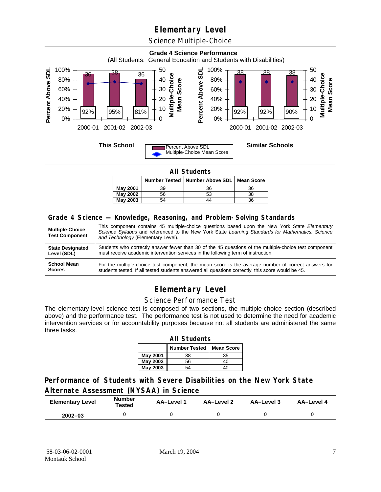Science Multiple-Choice



**All Students** 

|                 |    | Number Tested   Number Above SDL   Mean Score |    |
|-----------------|----|-----------------------------------------------|----|
| May 2001        | 39 | 36                                            | 36 |
| May 2002        | 56 | 53                                            | 38 |
| <b>May 2003</b> | 54 | 44                                            | 36 |

| Grade 4 Science - Knowledge, Reasoning, and Problem-Solving Standards |                                                                                                                                                                                                                                          |  |  |  |  |
|-----------------------------------------------------------------------|------------------------------------------------------------------------------------------------------------------------------------------------------------------------------------------------------------------------------------------|--|--|--|--|
| <b>Multiple-Choice</b><br><b>Test Component</b>                       | This component contains 45 multiple-choice questions based upon the New York State Elementary<br>Science Syllabus and referenced to the New York State Learning Standards for Mathematics, Science<br>and Technology (Elementary Level). |  |  |  |  |
| <b>State Designated</b>                                               | Students who correctly answer fewer than 30 of the 45 questions of the multiple-choice test component                                                                                                                                    |  |  |  |  |
| Level (SDL)                                                           | must receive academic intervention services in the following term of instruction.                                                                                                                                                        |  |  |  |  |
| <b>School Mean</b>                                                    | For the multiple-choice test component, the mean score is the average number of correct answers for                                                                                                                                      |  |  |  |  |
| <b>Scores</b>                                                         | students tested. If all tested students answered all questions correctly, this score would be 45.                                                                                                                                        |  |  |  |  |

# **Elementary Level**

#### Science Performance Test

The elementary-level science test is composed of two sections, the multiple-choice section (described above) and the performance test. The performance test is not used to determine the need for academic intervention services or for accountability purposes because not all students are administered the same three tasks.

| <b>All Students</b>                       |                       |    |  |  |  |  |
|-------------------------------------------|-----------------------|----|--|--|--|--|
| <b>Number Tested</b><br><b>Mean Score</b> |                       |    |  |  |  |  |
| May 2001                                  | 38                    | 35 |  |  |  |  |
| May 2002                                  | 56                    | 40 |  |  |  |  |
| <b>May 2003</b>                           | 10 <sup>1</sup><br>54 |    |  |  |  |  |

### **Performance of Students with Severe Disabilities on the New York State Alternate Assessment (NYSAA) in Science**

| <b>Elementary Level</b> | <b>Number</b><br>Tested | AA-Level 1 | AA-Level 2 | AA-Level 3 | AA-Level 4 |
|-------------------------|-------------------------|------------|------------|------------|------------|
| $2002 - 03$             |                         |            |            |            |            |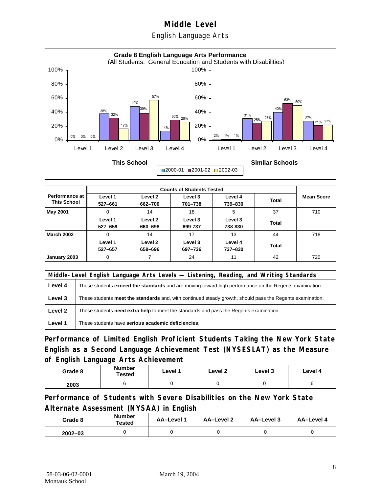English Language Arts



|                                             |                    | <b>Counts of Students Tested</b> |                    |                    |              |                   |  |  |
|---------------------------------------------|--------------------|----------------------------------|--------------------|--------------------|--------------|-------------------|--|--|
| <b>Performance at</b><br><b>This School</b> | Level 1<br>527-661 | Level 2<br>662-700               | Level 3<br>701-738 | Level 4<br>739-830 | <b>Total</b> | <b>Mean Score</b> |  |  |
| May 2001                                    | 0                  | 14                               | 18                 | 5                  | 37           | 710               |  |  |
|                                             | Level 1<br>527-659 | Level 2<br>660-698               | Level 3<br>699-737 | Level 3<br>738-830 | Total        |                   |  |  |
| <b>March 2002</b>                           | $\Omega$           | 14                               | 17                 | 13                 | 44           | 718               |  |  |
|                                             | Level 1<br>527-657 | Level 2<br>658-696               | Level 3<br>697-736 | Level 4<br>737-830 | Total        |                   |  |  |
| January 2003                                | 0                  |                                  | 24                 | 11                 | 42           | 720               |  |  |

|         | Middle-Level English Language Arts Levels — Listening, Reading, and Writing Standards                     |  |  |  |  |
|---------|-----------------------------------------------------------------------------------------------------------|--|--|--|--|
| Level 4 | These students exceed the standards and are moving toward high performance on the Regents examination.    |  |  |  |  |
| Level 3 | These students meet the standards and, with continued steady growth, should pass the Regents examination. |  |  |  |  |
| Level 2 | These students <b>need extra help</b> to meet the standards and pass the Regents examination.             |  |  |  |  |
| Level 1 | These students have serious academic deficiencies.                                                        |  |  |  |  |

**Performance of Limited English Proficient Students Taking the New York State English as a Second Language Achievement Test (NYSESLAT) as the Measure of English Language Arts Achievement**

| Grade 8 | Number<br>「ested | Level 1 | Level 2 | Level 3 | Level 4 |
|---------|------------------|---------|---------|---------|---------|
| 2003    |                  |         |         |         |         |

**Performance of Students with Severe Disabilities on the New York State Alternate Assessment (NYSAA) in English** 

| Grade 8     | Number<br>Tested | AA-Level 1 | AA-Level 2 | AA-Level 3 | AA-Level 4 |
|-------------|------------------|------------|------------|------------|------------|
| $2002 - 03$ |                  |            |            |            |            |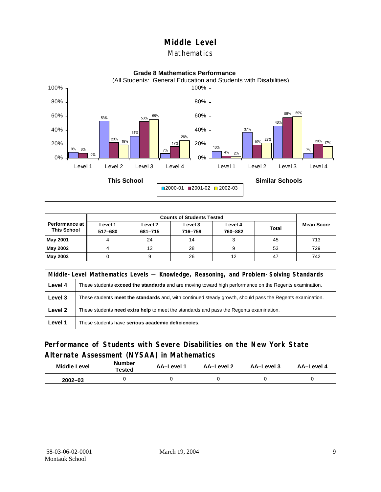#### **Mathematics**



| <b>Counts of Students Tested</b>              |                    |                    |                    |                    |              |                   |  |
|-----------------------------------------------|--------------------|--------------------|--------------------|--------------------|--------------|-------------------|--|
| <b>Performance at I</b><br><b>This School</b> | Level 1<br>517-680 | Level 2<br>681-715 | Level 3<br>716-759 | Level 4<br>760-882 | <b>Total</b> | <b>Mean Score</b> |  |
| <b>May 2001</b>                               |                    | 24                 | 14                 |                    | 45           | 713               |  |
| May 2002                                      |                    | 12                 | 28                 |                    | 53           | 729               |  |
| May 2003                                      |                    |                    | 26                 | 12                 | 47           | 742               |  |

|         | Middle-Level Mathematics Levels — Knowledge, Reasoning, and Problem-Solving Standards                         |  |  |  |  |
|---------|---------------------------------------------------------------------------------------------------------------|--|--|--|--|
| Level 4 | These students <b>exceed the standards</b> and are moving toward high performance on the Regents examination. |  |  |  |  |
| Level 3 | These students meet the standards and, with continued steady growth, should pass the Regents examination.     |  |  |  |  |
| Level 2 | These students <b>need extra help</b> to meet the standards and pass the Regents examination.                 |  |  |  |  |
| Level 1 | These students have serious academic deficiencies.                                                            |  |  |  |  |

### **Performance of Students with Severe Disabilities on the New York State Alternate Assessment (NYSAA) in Mathematics**

| <b>Middle Level</b> | <b>Number</b><br>Tested | AA-Level | AA-Level 2 | AA-Level 3 | AA-Level 4 |
|---------------------|-------------------------|----------|------------|------------|------------|
| $2002 - 03$         |                         |          |            |            |            |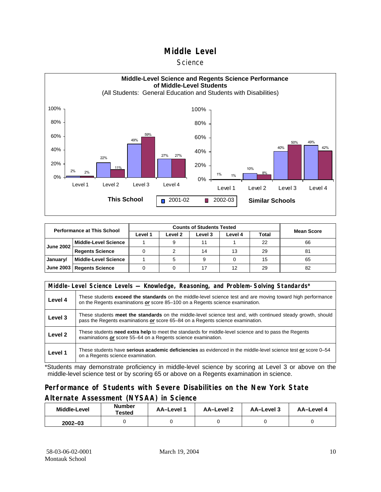#### **Science**



| <b>Performance at This School</b> |                             |         | <b>Mean Score</b> |         |         |       |    |
|-----------------------------------|-----------------------------|---------|-------------------|---------|---------|-------|----|
|                                   |                             | Level 1 | Level 2           | Level 3 | Level 4 | Total |    |
| <b>June 2002</b>                  | Middle-Level Science        |         |                   | 11      |         | 22    | 66 |
|                                   | <b>Regents Science</b>      |         |                   | 14      | 13      | 29    | 81 |
| January/                          | Middle-Level Science        |         |                   |         |         | 15    | 65 |
|                                   | June 2003   Regents Science |         |                   |         | 12      | 29    | 82 |

|         | Middle-Level Science Levels — Knowledge, Reasoning, and Problem-Solving Standards*                                                                                                                  |  |  |  |  |  |  |  |
|---------|-----------------------------------------------------------------------------------------------------------------------------------------------------------------------------------------------------|--|--|--|--|--|--|--|
| Level 4 | These students <b>exceed the standards</b> on the middle-level science test and are moving toward high performance<br>on the Regents examinations or score 85–100 on a Regents science examination. |  |  |  |  |  |  |  |
| Level 3 | These students meet the standards on the middle-level science test and, with continued steady growth, should<br>pass the Regents examinations or score 65–84 on a Regents science examination.      |  |  |  |  |  |  |  |
| Level 2 | These students need extra help to meet the standards for middle-level science and to pass the Regents<br>examinations or score 55–64 on a Regents science examination.                              |  |  |  |  |  |  |  |
| Level 1 | These students have serious academic deficiencies as evidenced in the middle-level science test or score 0–54<br>on a Regents science examination.                                                  |  |  |  |  |  |  |  |

\*Students may demonstrate proficiency in middle-level science by scoring at Level 3 or above on the middle-level science test or by scoring 65 or above on a Regents examination in science.

#### **Performance of Students with Severe Disabilities on the New York State Alternate Assessment (NYSAA) in Science**

| Middle-Level | <b>Number</b><br>Tested | <b>AA-Level 1</b> | AA-Level 2 | AA-Level 3 | AA-Level 4 |  |
|--------------|-------------------------|-------------------|------------|------------|------------|--|
| $2002 - 03$  |                         |                   |            |            |            |  |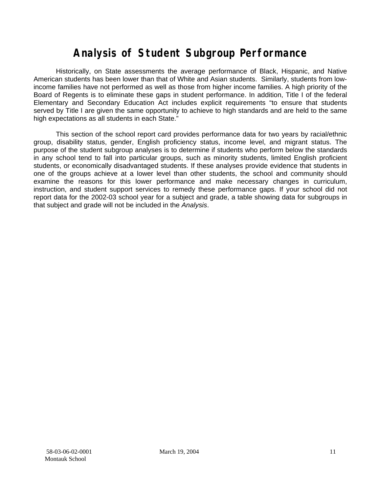# **Analysis of Student Subgroup Performance**

Historically, on State assessments the average performance of Black, Hispanic, and Native American students has been lower than that of White and Asian students. Similarly, students from lowincome families have not performed as well as those from higher income families. A high priority of the Board of Regents is to eliminate these gaps in student performance. In addition, Title I of the federal Elementary and Secondary Education Act includes explicit requirements "to ensure that students served by Title I are given the same opportunity to achieve to high standards and are held to the same high expectations as all students in each State."

This section of the school report card provides performance data for two years by racial/ethnic group, disability status, gender, English proficiency status, income level, and migrant status. The purpose of the student subgroup analyses is to determine if students who perform below the standards in any school tend to fall into particular groups, such as minority students, limited English proficient students, or economically disadvantaged students. If these analyses provide evidence that students in one of the groups achieve at a lower level than other students, the school and community should examine the reasons for this lower performance and make necessary changes in curriculum, instruction, and student support services to remedy these performance gaps. If your school did not report data for the 2002-03 school year for a subject and grade, a table showing data for subgroups in that subject and grade will not be included in the *Analysis*.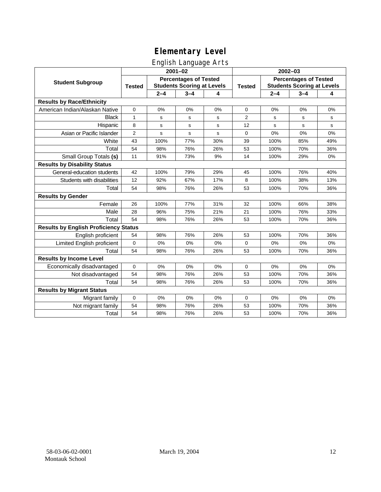## English Language Arts

|                                              |                                                                                    |         | ັ<br>$2001 - 02$ |               | 2002-03                                                           |         |     |     |  |
|----------------------------------------------|------------------------------------------------------------------------------------|---------|------------------|---------------|-------------------------------------------------------------------|---------|-----|-----|--|
| <b>Student Subgroup</b>                      | <b>Percentages of Tested</b><br><b>Students Scoring at Levels</b><br><b>Tested</b> |         |                  | <b>Tested</b> | <b>Percentages of Tested</b><br><b>Students Scoring at Levels</b> |         |     |     |  |
|                                              |                                                                                    | $2 - 4$ | $3 - 4$          | $2 - 4$<br>4  |                                                                   | $3 - 4$ | 4   |     |  |
| <b>Results by Race/Ethnicity</b>             |                                                                                    |         |                  |               |                                                                   |         |     |     |  |
| American Indian/Alaskan Native               | 0                                                                                  | 0%      | 0%               | 0%            | $\mathbf 0$                                                       | 0%      | 0%  | 0%  |  |
| <b>Black</b>                                 | $\mathbf{1}$                                                                       | s       | $\mathbf s$      | s             | 2                                                                 | s       | s   | s   |  |
| Hispanic                                     | 8                                                                                  | s       | s                | s             | 12                                                                | s       | s   | s   |  |
| Asian or Pacific Islander                    | 2                                                                                  | s       | $\mathbf s$      | s             | $\mathbf 0$                                                       | 0%      | 0%  | 0%  |  |
| White                                        | 43                                                                                 | 100%    | 77%              | 30%           | 39                                                                | 100%    | 85% | 49% |  |
| Total                                        | 54                                                                                 | 98%     | 76%              | 26%           | 53                                                                | 100%    | 70% | 36% |  |
| Small Group Totals (s)                       | 11                                                                                 | 91%     | 73%              | 9%            | 14                                                                | 100%    | 29% | 0%  |  |
| <b>Results by Disability Status</b>          |                                                                                    |         |                  |               |                                                                   |         |     |     |  |
| General-education students                   | 42                                                                                 | 100%    | 79%              | 29%           | 45                                                                | 100%    | 76% | 40% |  |
| Students with disabilities                   | 12                                                                                 | 92%     | 67%              | 17%           | 8                                                                 | 100%    | 38% | 13% |  |
| Total                                        | 54                                                                                 | 98%     | 76%              | 26%           | 53                                                                | 100%    | 70% | 36% |  |
| <b>Results by Gender</b>                     |                                                                                    |         |                  |               |                                                                   |         |     |     |  |
| Female                                       | 26                                                                                 | 100%    | 77%              | 31%           | 32                                                                | 100%    | 66% | 38% |  |
| Male                                         | 28                                                                                 | 96%     | 75%              | 21%           | 21                                                                | 100%    | 76% | 33% |  |
| Total                                        | 54                                                                                 | 98%     | 76%              | 26%           | 53                                                                | 100%    | 70% | 36% |  |
| <b>Results by English Proficiency Status</b> |                                                                                    |         |                  |               |                                                                   |         |     |     |  |
| English proficient                           | 54                                                                                 | 98%     | 76%              | 26%           | 53                                                                | 100%    | 70% | 36% |  |
| Limited English proficient                   | 0                                                                                  | 0%      | 0%               | 0%            | $\mathbf 0$                                                       | 0%      | 0%  | 0%  |  |
| Total                                        | 54                                                                                 | 98%     | 76%              | 26%           | 53                                                                | 100%    | 70% | 36% |  |
| <b>Results by Income Level</b>               |                                                                                    |         |                  |               |                                                                   |         |     |     |  |
| Economically disadvantaged                   | $\Omega$                                                                           | 0%      | 0%               | 0%            | $\Omega$                                                          | 0%      | 0%  | 0%  |  |
| Not disadvantaged                            | 54                                                                                 | 98%     | 76%              | 26%           | 53                                                                | 100%    | 70% | 36% |  |
| Total                                        | 54                                                                                 | 98%     | 76%              | 26%           | 53                                                                | 100%    | 70% | 36% |  |
| <b>Results by Migrant Status</b>             |                                                                                    |         |                  |               |                                                                   |         |     |     |  |
| Migrant family                               | 0                                                                                  | 0%      | 0%               | 0%            | $\mathbf 0$                                                       | 0%      | 0%  | 0%  |  |
| Not migrant family                           | 54                                                                                 | 98%     | 76%              | 26%           | 53                                                                | 100%    | 70% | 36% |  |
| Total                                        | 54                                                                                 | 98%     | 76%              | 26%           | 53                                                                | 100%    | 70% | 36% |  |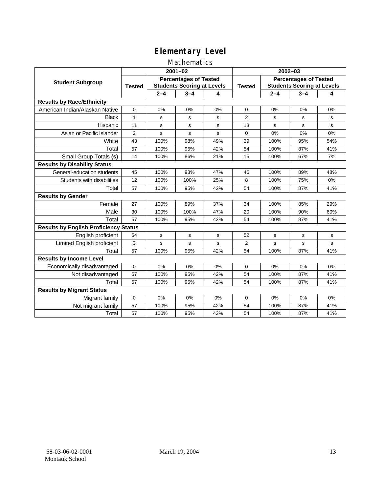### Mathematics

|                                              |                                                                                    |             | $2001 - 02$  |               | $2002 - 03$                                                       |         |                                                                                                                                                          |              |  |
|----------------------------------------------|------------------------------------------------------------------------------------|-------------|--------------|---------------|-------------------------------------------------------------------|---------|----------------------------------------------------------------------------------------------------------------------------------------------------------|--------------|--|
| <b>Student Subgroup</b>                      | <b>Percentages of Tested</b><br><b>Students Scoring at Levels</b><br><b>Tested</b> |             |              | <b>Tested</b> | <b>Percentages of Tested</b><br><b>Students Scoring at Levels</b> |         |                                                                                                                                                          |              |  |
|                                              |                                                                                    | $2 - 4$     | $3 - 4$      | 4             |                                                                   | $2 - 4$ | $3 - 4$<br>0%<br>s<br>s<br>0%<br>95%<br>87%<br>67%<br>89%<br>75%<br>87%<br>85%<br>90%<br>87%<br>$\mathbf s$<br>s<br>87%<br>0%<br>87%<br>87%<br>0%<br>87% | 4            |  |
| <b>Results by Race/Ethnicity</b>             |                                                                                    |             |              |               |                                                                   |         |                                                                                                                                                          |              |  |
| American Indian/Alaskan Native               | $\Omega$                                                                           | 0%          | 0%           | 0%            | $\Omega$                                                          | 0%      |                                                                                                                                                          | 0%           |  |
| <b>Black</b>                                 | 1                                                                                  | s           | s            | s             | $\overline{2}$                                                    | s       |                                                                                                                                                          | s            |  |
| Hispanic                                     | 11                                                                                 | s           | s            | s             | 13                                                                | s       |                                                                                                                                                          | $\mathbf{s}$ |  |
| Asian or Pacific Islander                    | $\overline{2}$                                                                     | s           | $\mathsf{s}$ | s             | 0                                                                 | 0%      |                                                                                                                                                          | 0%           |  |
| White                                        | 43                                                                                 | 100%        | 98%          | 49%           | 39                                                                | 100%    |                                                                                                                                                          | 54%          |  |
| Total                                        | 57                                                                                 | 100%        | 95%          | 42%           | 54                                                                | 100%    |                                                                                                                                                          | 41%          |  |
| Small Group Totals (s)                       | 14                                                                                 | 100%        | 86%          | 21%           | 15                                                                | 100%    |                                                                                                                                                          | 7%           |  |
| <b>Results by Disability Status</b>          |                                                                                    |             |              |               |                                                                   |         |                                                                                                                                                          |              |  |
| General-education students                   | 45                                                                                 | 100%        | 93%          | 47%           | 46                                                                | 100%    |                                                                                                                                                          | 48%          |  |
| Students with disabilities                   | 12                                                                                 | 100%        | 100%         | 25%           | 8                                                                 | 100%    |                                                                                                                                                          | 0%           |  |
| Total                                        | 57                                                                                 | 100%        | 95%          | 42%           | 54                                                                | 100%    |                                                                                                                                                          | 41%          |  |
| <b>Results by Gender</b>                     |                                                                                    |             |              |               |                                                                   |         |                                                                                                                                                          |              |  |
| Female                                       | 27                                                                                 | 100%        | 89%          | 37%           | 34                                                                | 100%    |                                                                                                                                                          | 29%          |  |
| Male                                         | 30                                                                                 | 100%        | 100%         | 47%           | 20                                                                | 100%    |                                                                                                                                                          | 60%          |  |
| Total                                        | 57                                                                                 | 100%        | 95%          | 42%           | 54                                                                | 100%    |                                                                                                                                                          | 41%          |  |
| <b>Results by English Proficiency Status</b> |                                                                                    |             |              |               |                                                                   |         |                                                                                                                                                          |              |  |
| English proficient                           | 54                                                                                 | $\mathbf s$ | s            | s             | 52                                                                | s       |                                                                                                                                                          | s            |  |
| Limited English proficient                   | 3                                                                                  | s           | s            | s             | $\overline{2}$                                                    | s       |                                                                                                                                                          | s            |  |
| Total                                        | 57                                                                                 | 100%        | 95%          | 42%           | 54                                                                | 100%    |                                                                                                                                                          | 41%          |  |
| <b>Results by Income Level</b>               |                                                                                    |             |              |               |                                                                   |         |                                                                                                                                                          |              |  |
| Economically disadvantaged                   | 0                                                                                  | 0%          | 0%           | 0%            | $\mathbf 0$                                                       | 0%      |                                                                                                                                                          | 0%           |  |
| Not disadvantaged                            | 57                                                                                 | 100%        | 95%          | 42%           | 54                                                                | 100%    |                                                                                                                                                          | 41%          |  |
| Total                                        | 57                                                                                 | 100%        | 95%          | 42%           | 54                                                                | 100%    |                                                                                                                                                          | 41%          |  |
| <b>Results by Migrant Status</b>             |                                                                                    |             |              |               |                                                                   |         |                                                                                                                                                          |              |  |
| Migrant family                               | 0                                                                                  | 0%          | 0%           | $0\%$         | 0                                                                 | 0%      |                                                                                                                                                          | 0%           |  |
| Not migrant family                           | 57                                                                                 | 100%        | 95%          | 42%           | 54                                                                | 100%    |                                                                                                                                                          | 41%          |  |
| Total                                        | 57                                                                                 | 100%        | 95%          | 42%           | 54                                                                | 100%    | 87%                                                                                                                                                      | 41%          |  |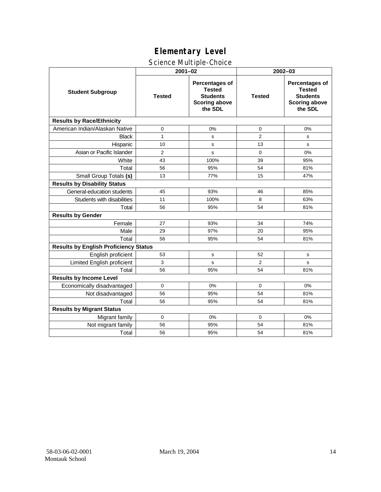## Science Multiple-Choice

|                                              | $2001 - 02$    |                                                                                       | $2002 - 03$    |                                                                                              |  |  |
|----------------------------------------------|----------------|---------------------------------------------------------------------------------------|----------------|----------------------------------------------------------------------------------------------|--|--|
| <b>Student Subgroup</b>                      | <b>Tested</b>  | Percentages of<br><b>Tested</b><br><b>Students</b><br><b>Scoring above</b><br>the SDL | <b>Tested</b>  | <b>Percentages of</b><br><b>Tested</b><br><b>Students</b><br><b>Scoring above</b><br>the SDL |  |  |
| <b>Results by Race/Ethnicity</b>             |                |                                                                                       |                |                                                                                              |  |  |
| American Indian/Alaskan Native               | 0              | 0%                                                                                    | $\pmb{0}$      | 0%                                                                                           |  |  |
| <b>Black</b>                                 | 1              | ${\tt s}$                                                                             | $\overline{2}$ | ${\tt s}$                                                                                    |  |  |
| Hispanic                                     | 10             | s                                                                                     | 13             | s                                                                                            |  |  |
| Asian or Pacific Islander                    | $\overline{2}$ | s                                                                                     | 0              | 0%                                                                                           |  |  |
| White                                        | 43             | 100%                                                                                  | 39             | 95%                                                                                          |  |  |
| Total                                        | 56             | 95%                                                                                   | 54             | 81%                                                                                          |  |  |
| Small Group Totals (s)                       | 13             | 77%                                                                                   | 15             | 47%                                                                                          |  |  |
| <b>Results by Disability Status</b>          |                |                                                                                       |                |                                                                                              |  |  |
| General-education students                   | 45             | 93%                                                                                   | 46             | 85%                                                                                          |  |  |
| Students with disabilities                   | 11             | 100%                                                                                  | 8              | 63%                                                                                          |  |  |
| Total                                        | 56             | 95%                                                                                   | 54             | 81%                                                                                          |  |  |
| <b>Results by Gender</b>                     |                |                                                                                       |                |                                                                                              |  |  |
| Female                                       | 27             | 93%                                                                                   | 34             | 74%                                                                                          |  |  |
| Male                                         | 29             | 97%                                                                                   | 20             | 95%                                                                                          |  |  |
| Total                                        | 56             | 95%                                                                                   | 54             | 81%                                                                                          |  |  |
| <b>Results by English Proficiency Status</b> |                |                                                                                       |                |                                                                                              |  |  |
| English proficient                           | 53             | s                                                                                     | 52             | s                                                                                            |  |  |
| Limited English proficient                   | 3              | s                                                                                     | $\overline{2}$ | s                                                                                            |  |  |
| Total                                        | 56             | 95%                                                                                   | 54             | 81%                                                                                          |  |  |
| <b>Results by Income Level</b>               |                |                                                                                       |                |                                                                                              |  |  |
| Economically disadvantaged                   | $\Omega$       | 0%                                                                                    | $\Omega$       | 0%                                                                                           |  |  |
| Not disadvantaged                            | 56             | 95%                                                                                   | 54             | 81%                                                                                          |  |  |
| Total                                        | 56             | 95%                                                                                   | 54             | 81%                                                                                          |  |  |
| <b>Results by Migrant Status</b>             |                |                                                                                       |                |                                                                                              |  |  |
| Migrant family                               | 0              | 0%                                                                                    | 0              | 0%                                                                                           |  |  |
| Not migrant family                           | 56             | 95%                                                                                   | 54             | 81%                                                                                          |  |  |
| Total                                        | 56             | 95%                                                                                   | 54             | 81%                                                                                          |  |  |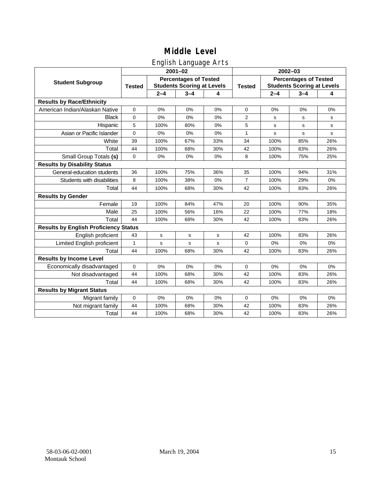## English Language Arts

|                                              |                                                                                    |             | ັ<br>$2001 - 02$        |     | 2002-03        |                                                                   |     |     |  |
|----------------------------------------------|------------------------------------------------------------------------------------|-------------|-------------------------|-----|----------------|-------------------------------------------------------------------|-----|-----|--|
| <b>Student Subgroup</b>                      | <b>Percentages of Tested</b><br><b>Students Scoring at Levels</b><br><b>Tested</b> |             |                         |     | <b>Tested</b>  | <b>Percentages of Tested</b><br><b>Students Scoring at Levels</b> |     |     |  |
|                                              |                                                                                    | $2 - 4$     | $3 - 4$<br>$2 - 4$<br>4 |     | $3 - 4$        | 4                                                                 |     |     |  |
| <b>Results by Race/Ethnicity</b>             |                                                                                    |             |                         |     |                |                                                                   |     |     |  |
| American Indian/Alaskan Native               | $\mathbf 0$                                                                        | 0%          | 0%                      | 0%  | 0              | 0%                                                                | 0%  | 0%  |  |
| <b>Black</b>                                 | $\mathbf 0$                                                                        | 0%          | 0%                      | 0%  | 2              | s                                                                 | s   | s   |  |
| Hispanic                                     | 5                                                                                  | 100%        | 80%                     | 0%  | 5              | s                                                                 | s   | s   |  |
| Asian or Pacific Islander                    | $\mathbf 0$                                                                        | 0%          | 0%                      | 0%  | $\mathbf{1}$   | $\mathbf s$                                                       | s   | s   |  |
| White                                        | 39                                                                                 | 100%        | 67%                     | 33% | 34             | 100%                                                              | 85% | 26% |  |
| Total                                        | 44                                                                                 | 100%        | 68%                     | 30% | 42             | 100%                                                              | 83% | 26% |  |
| Small Group Totals (s)                       | $\Omega$                                                                           | 0%          | 0%                      | 0%  | 8              | 100%                                                              | 75% | 25% |  |
| <b>Results by Disability Status</b>          |                                                                                    |             |                         |     |                |                                                                   |     |     |  |
| General-education students                   | 36                                                                                 | 100%        | 75%                     | 36% | 35             | 100%                                                              | 94% | 31% |  |
| Students with disabilities                   | 8                                                                                  | 100%        | 38%                     | 0%  | $\overline{7}$ | 100%                                                              | 29% | 0%  |  |
| Total                                        | 44                                                                                 | 100%        | 68%                     | 30% | 42             | 100%                                                              | 83% | 26% |  |
| <b>Results by Gender</b>                     |                                                                                    |             |                         |     |                |                                                                   |     |     |  |
| Female                                       | 19                                                                                 | 100%        | 84%                     | 47% | 20             | 100%                                                              | 90% | 35% |  |
| Male                                         | 25                                                                                 | 100%        | 56%                     | 16% | 22             | 100%                                                              | 77% | 18% |  |
| Total                                        | 44                                                                                 | 100%        | 68%                     | 30% | 42             | 100%                                                              | 83% | 26% |  |
| <b>Results by English Proficiency Status</b> |                                                                                    |             |                         |     |                |                                                                   |     |     |  |
| English proficient                           | 43                                                                                 | $\mathbf s$ | $\mathbf s$             | s   | 42             | 100%                                                              | 83% | 26% |  |
| Limited English proficient                   | $\mathbf{1}$                                                                       | $\mathbf s$ | $\mathsf{s}$            | s   | $\mathbf 0$    | 0%                                                                | 0%  | 0%  |  |
| Total                                        | 44                                                                                 | 100%        | 68%                     | 30% | 42             | 100%                                                              | 83% | 26% |  |
| <b>Results by Income Level</b>               |                                                                                    |             |                         |     |                |                                                                   |     |     |  |
| Economically disadvantaged                   | $\mathbf 0$                                                                        | 0%          | 0%                      | 0%  | $\mathbf 0$    | 0%                                                                | 0%  | 0%  |  |
| Not disadvantaged                            | 44                                                                                 | 100%        | 68%                     | 30% | 42             | 100%                                                              | 83% | 26% |  |
| Total                                        | 44                                                                                 | 100%        | 68%                     | 30% | 42             | 100%                                                              | 83% | 26% |  |
| <b>Results by Migrant Status</b>             |                                                                                    |             |                         |     |                |                                                                   |     |     |  |
| Migrant family                               | $\mathbf 0$                                                                        | 0%          | 0%                      | 0%  | 0              | 0%                                                                | 0%  | 0%  |  |
| Not migrant family                           | 44                                                                                 | 100%        | 68%                     | 30% | 42             | 100%                                                              | 83% | 26% |  |
| Total                                        | 44                                                                                 | 100%        | 68%                     | 30% | 42             | 100%                                                              | 83% | 26% |  |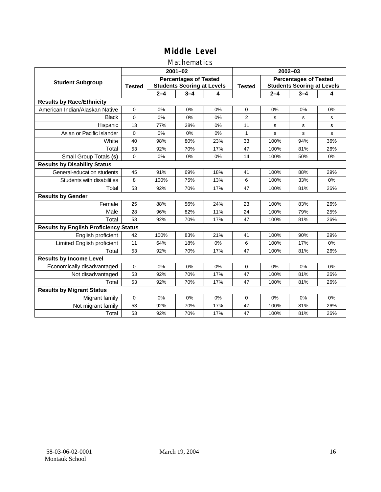### Mathematics

|                                              |                                                                                    |         | $2001 - 02$ |               | $2002 - 03$                                                       |         |         |     |  |
|----------------------------------------------|------------------------------------------------------------------------------------|---------|-------------|---------------|-------------------------------------------------------------------|---------|---------|-----|--|
| <b>Student Subgroup</b>                      | <b>Percentages of Tested</b><br><b>Students Scoring at Levels</b><br><b>Tested</b> |         |             | <b>Tested</b> | <b>Percentages of Tested</b><br><b>Students Scoring at Levels</b> |         |         |     |  |
|                                              |                                                                                    | $2 - 4$ | $3 - 4$     | 4             |                                                                   | $2 - 4$ | $3 - 4$ | 4   |  |
| <b>Results by Race/Ethnicity</b>             |                                                                                    |         |             |               |                                                                   |         |         |     |  |
| American Indian/Alaskan Native               | 0                                                                                  | 0%      | 0%          | 0%            | $\mathbf 0$                                                       | 0%      | 0%      | 0%  |  |
| <b>Black</b>                                 | 0                                                                                  | 0%      | 0%          | 0%            | 2                                                                 | s       | s       | s   |  |
| Hispanic                                     | 13                                                                                 | 77%     | 38%         | 0%            | 11                                                                | s       | s       | s   |  |
| Asian or Pacific Islander                    | 0                                                                                  | 0%      | 0%          | 0%            | 1                                                                 | s       | s       | s   |  |
| White                                        | 40                                                                                 | 98%     | 80%         | 23%           | 33                                                                | 100%    | 94%     | 36% |  |
| Total                                        | 53                                                                                 | 92%     | 70%         | 17%           | 47                                                                | 100%    | 81%     | 26% |  |
| Small Group Totals (s)                       | 0                                                                                  | 0%      | 0%          | 0%            | 14                                                                | 100%    | 50%     | 0%  |  |
| <b>Results by Disability Status</b>          |                                                                                    |         |             |               |                                                                   |         |         |     |  |
| General-education students                   | 45                                                                                 | 91%     | 69%         | 18%           | 41                                                                | 100%    | 88%     | 29% |  |
| Students with disabilities                   | 8                                                                                  | 100%    | 75%         | 13%           | 6                                                                 | 100%    | 33%     | 0%  |  |
| Total                                        | 53                                                                                 | 92%     | 70%         | 17%           | 47                                                                | 100%    | 81%     | 26% |  |
| <b>Results by Gender</b>                     |                                                                                    |         |             |               |                                                                   |         |         |     |  |
| Female                                       | 25                                                                                 | 88%     | 56%         | 24%           | 23                                                                | 100%    | 83%     | 26% |  |
| Male                                         | 28                                                                                 | 96%     | 82%         | 11%           | 24                                                                | 100%    | 79%     | 25% |  |
| Total                                        | 53                                                                                 | 92%     | 70%         | 17%           | 47                                                                | 100%    | 81%     | 26% |  |
| <b>Results by English Proficiency Status</b> |                                                                                    |         |             |               |                                                                   |         |         |     |  |
| English proficient                           | 42                                                                                 | 100%    | 83%         | 21%           | 41                                                                | 100%    | 90%     | 29% |  |
| Limited English proficient                   | 11                                                                                 | 64%     | 18%         | 0%            | 6                                                                 | 100%    | 17%     | 0%  |  |
| Total                                        | 53                                                                                 | 92%     | 70%         | 17%           | 47                                                                | 100%    | 81%     | 26% |  |
| <b>Results by Income Level</b>               |                                                                                    |         |             |               |                                                                   |         |         |     |  |
| Economically disadvantaged                   | 0                                                                                  | 0%      | 0%          | 0%            | $\Omega$                                                          | 0%      | 0%      | 0%  |  |
| Not disadvantaged                            | 53                                                                                 | 92%     | 70%         | 17%           | 47                                                                | 100%    | 81%     | 26% |  |
| Total                                        | 53                                                                                 | 92%     | 70%         | 17%           | 47                                                                | 100%    | 81%     | 26% |  |
| <b>Results by Migrant Status</b>             |                                                                                    |         |             |               |                                                                   |         |         |     |  |
| Migrant family                               | 0                                                                                  | 0%      | 0%          | 0%            | $\mathbf 0$                                                       | 0%      | 0%      | 0%  |  |
| Not migrant family                           | 53                                                                                 | 92%     | 70%         | 17%           | 47                                                                | 100%    | 81%     | 26% |  |
| Total                                        | 53                                                                                 | 92%     | 70%         | 17%           | 47                                                                | 100%    | 81%     | 26% |  |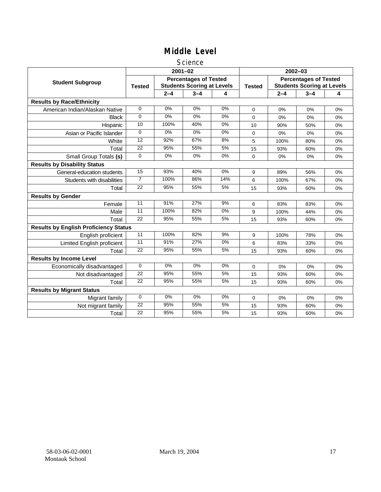#### Science

|                                              |                |         | $2001 - 02$                                                       |       | $2002 - 03$   |                                                                   |         |    |  |
|----------------------------------------------|----------------|---------|-------------------------------------------------------------------|-------|---------------|-------------------------------------------------------------------|---------|----|--|
| <b>Student Subgroup</b>                      | <b>Tested</b>  |         | <b>Percentages of Tested</b><br><b>Students Scoring at Levels</b> |       | <b>Tested</b> | <b>Percentages of Tested</b><br><b>Students Scoring at Levels</b> |         |    |  |
|                                              |                | $2 - 4$ | $3 - 4$                                                           | 4     |               | $2 - 4$                                                           | $3 - 4$ | 4  |  |
| <b>Results by Race/Ethnicity</b>             |                |         |                                                                   |       |               |                                                                   |         |    |  |
| American Indian/Alaskan Native               | $\Omega$       | 0%      | 0%                                                                | 0%    | $\mathbf 0$   | 0%                                                                | 0%      | 0% |  |
| <b>Black</b>                                 | 0              | 0%      | 0%                                                                | 0%    | $\Omega$      | 0%                                                                | 0%      | 0% |  |
| Hispanic                                     | 10             | 100%    | 40%                                                               | 0%    | 10            | 90%                                                               | 50%     | 0% |  |
| Asian or Pacific Islander                    | $\mathbf 0$    | 0%      | 0%                                                                | $0\%$ | $\mathbf 0$   | 0%                                                                | 0%      | 0% |  |
| White                                        | 12             | 92%     | 67%                                                               | 8%    | 5             | 100%                                                              | 80%     | 0% |  |
| Total                                        | 22             | 95%     | 55%                                                               | 5%    | 15            | 93%                                                               | 60%     | 0% |  |
| Small Group Totals (s)                       | $\Omega$       | 0%      | $0\%$                                                             | $0\%$ | 0             | 0%                                                                | 0%      | 0% |  |
| <b>Results by Disability Status</b>          |                |         |                                                                   |       |               |                                                                   |         |    |  |
| General-education students                   | 15             | 93%     | 40%                                                               | 0%    | 9             | 89%                                                               | 56%     | 0% |  |
| Students with disabilities                   | $\overline{7}$ | 100%    | 86%                                                               | 14%   | 6             | 100%                                                              | 67%     | 0% |  |
| Total                                        | 22             | 95%     | 55%                                                               | 5%    | 15            | 93%                                                               | 60%     | 0% |  |
| <b>Results by Gender</b>                     |                |         |                                                                   |       |               |                                                                   |         |    |  |
| Female                                       | 11             | 91%     | 27%                                                               | 9%    | 6             | 83%                                                               | 83%     | 0% |  |
| Male                                         | 11             | 100%    | 82%                                                               | 0%    | 9             | 100%                                                              | 44%     | 0% |  |
| Total                                        | 22             | 95%     | 55%                                                               | 5%    | 15            | 93%                                                               | 60%     | 0% |  |
| <b>Results by English Proficiency Status</b> |                |         |                                                                   |       |               |                                                                   |         |    |  |
| English proficient                           | 11             | 100%    | 82%                                                               | 9%    | 9             | 100%                                                              | 78%     | 0% |  |
| Limited English proficient                   | 11             | 91%     | 27%                                                               | $0\%$ | 6             | 83%                                                               | 33%     | 0% |  |
| Total                                        | 22             | 95%     | 55%                                                               | 5%    | 15            | 93%                                                               | 60%     | 0% |  |
| <b>Results by Income Level</b>               |                |         |                                                                   |       |               |                                                                   |         |    |  |
| Economically disadvantaged                   | 0              | 0%      | 0%                                                                | 0%    | $\mathbf 0$   | 0%                                                                | 0%      | 0% |  |
| Not disadvantaged                            | 22             | 95%     | 55%                                                               | 5%    | 15            | 93%                                                               | 60%     | 0% |  |
| Total                                        | 22             | 95%     | 55%                                                               | 5%    | 15            | 93%                                                               | 60%     | 0% |  |
| <b>Results by Migrant Status</b>             |                |         |                                                                   |       |               |                                                                   |         |    |  |
| Migrant family                               | 0              | 0%      | 0%                                                                | 0%    | 0             | 0%                                                                | 0%      | 0% |  |
| Not migrant family                           | 22             | 95%     | 55%                                                               | 5%    | 15            | 93%                                                               | 60%     | 0% |  |
| Total                                        | 22             | 95%     | 55%                                                               | 5%    | 15            | 93%                                                               | 60%     | 0% |  |